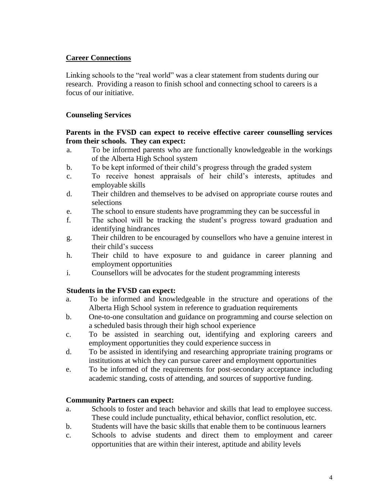# **Career Connections**

Linking schools to the "real world" was a clear statement from students during our research. Providing a reason to finish school and connecting school to careers is a focus of our initiative.

# **Counseling Services**

#### **Parents in the FVSD can expect to receive effective career counselling services from their schools. They can expect:**

- a. To be informed parents who are functionally knowledgeable in the workings of the Alberta High School system
- b. To be kept informed of their child's progress through the graded system
- c. To receive honest appraisals of heir child's interests, aptitudes and employable skills
- d. Their children and themselves to be advised on appropriate course routes and selections
- e. The school to ensure students have programming they can be successful in
- f. The school will be tracking the student's progress toward graduation and identifying hindrances
- g. Their children to be encouraged by counsellors who have a genuine interest in their child's success
- h. Their child to have exposure to and guidance in career planning and employment opportunities
- i. Counsellors will be advocates for the student programming interests

## **Students in the FVSD can expect:**

- a. To be informed and knowledgeable in the structure and operations of the Alberta High School system in reference to graduation requirements
- b. One-to-one consultation and guidance on programming and course selection on a scheduled basis through their high school experience
- c. To be assisted in searching out, identifying and exploring careers and employment opportunities they could experience success in
- d. To be assisted in identifying and researching appropriate training programs or institutions at which they can pursue career and employment opportunities
- e. To be informed of the requirements for post-secondary acceptance including academic standing, costs of attending, and sources of supportive funding.

## **Community Partners can expect:**

- a. Schools to foster and teach behavior and skills that lead to employee success. These could include punctuality, ethical behavior, conflict resolution, etc.
- b. Students will have the basic skills that enable them to be continuous learners
- c. Schools to advise students and direct them to employment and career opportunities that are within their interest, aptitude and ability levels